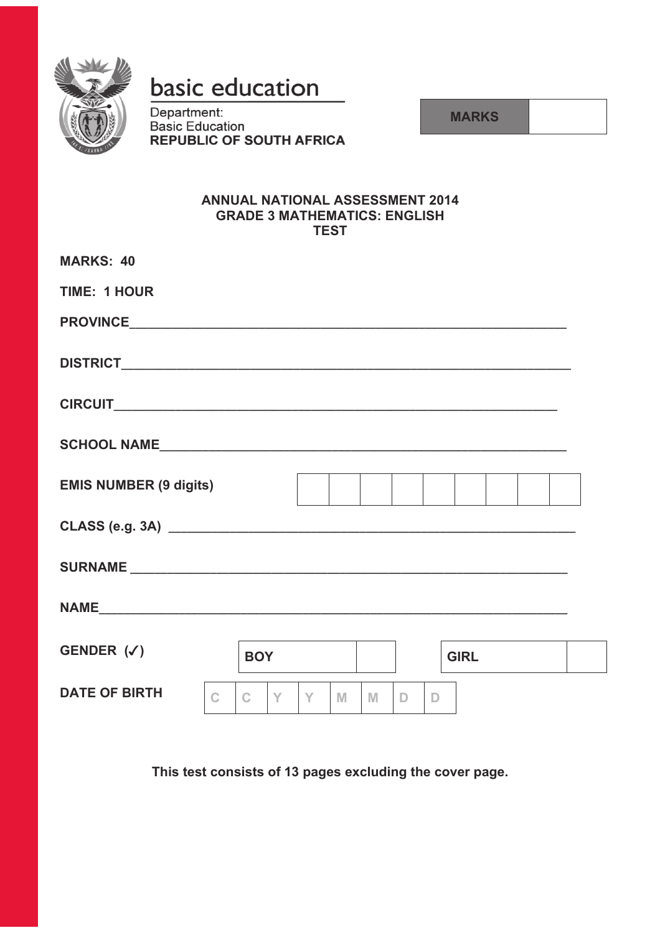

# basic education

Department: **Basic Education REPUBLIC OF SOUTH AFRICA** 

**MARKS**

#### **ANNUAL NATIONAL ASSESSMENT 2014 GRADE 3 MATHEMATICS: ENGLISH TEST**

| <b>MARKS: 40</b>                    |   |  |             |   |   |              |   |             |  |  |
|-------------------------------------|---|--|-------------|---|---|--------------|---|-------------|--|--|
| <b>TIME: 1 HOUR</b>                 |   |  |             |   |   |              |   |             |  |  |
|                                     |   |  |             |   |   |              |   |             |  |  |
|                                     |   |  |             |   |   |              |   |             |  |  |
|                                     |   |  |             |   |   |              |   |             |  |  |
|                                     |   |  |             |   |   |              |   |             |  |  |
| <b>EMIS NUMBER (9 digits)</b>       |   |  |             |   |   |              |   |             |  |  |
|                                     |   |  |             |   |   |              |   |             |  |  |
|                                     |   |  |             |   |   |              |   |             |  |  |
|                                     |   |  |             |   |   |              |   |             |  |  |
| GENDER $(\checkmark)$<br><b>BOY</b> |   |  |             |   |   |              |   | <b>GIRL</b> |  |  |
| <b>DATE OF BIRTH</b>                | C |  | $C$ $Y$ $Y$ | M | M | $\mathsf{D}$ | D |             |  |  |

**This test consists of 13 pages excluding the cover page.**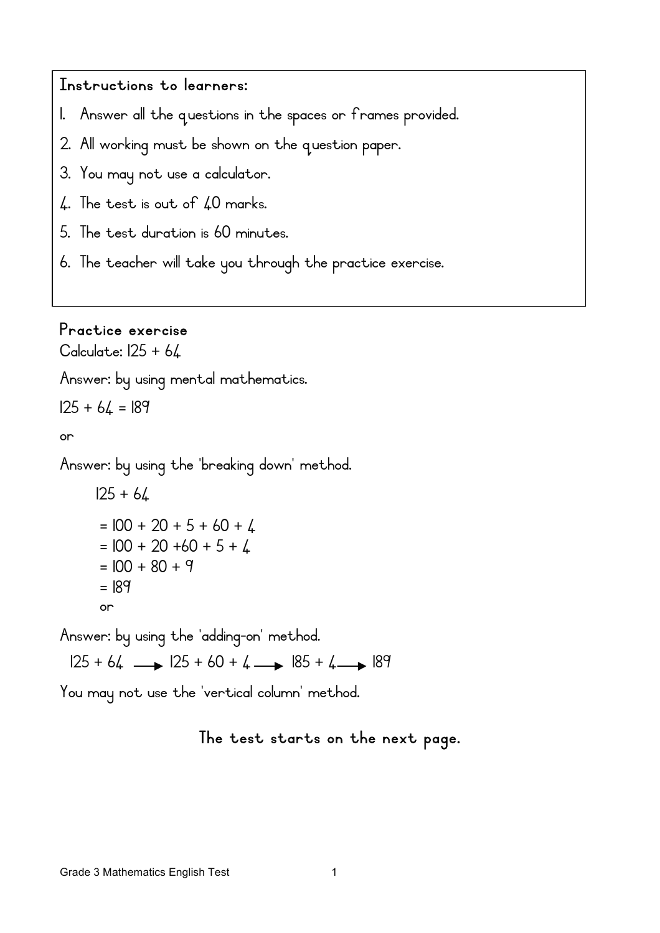### Instructions to learners:

- 1. Answer all the questions in the spaces or frames provided.
- 2. All working must be shown on the question paper.
- 3. You may not use a calculator.
- 4. The test is out of 40 marks.
- 5. The test duration is 60 minutes.
- 6. The teacher will take you through the practice exercise.

### Practice exercise

Calculate: 125 + 64

Answer: by using mental mathematics.

 $125 + 64 = 189$ 

or

Answer: by using the 'breaking down' method.

 $125 + 64$  $= 100 + 20 + 5 + 60 + 4$  $= 100 + 20 + 60 + 5 + 4$  $= 100 + 80 + 9$ = 189 or

Answer: by using the 'adding-on' method.

 $125 + 64$   $\longrightarrow$   $125 + 60 + 4$   $\longrightarrow$   $185 + 4$   $\longrightarrow$  189

You may not use the 'vertical column' method.

## The test starts on the next page.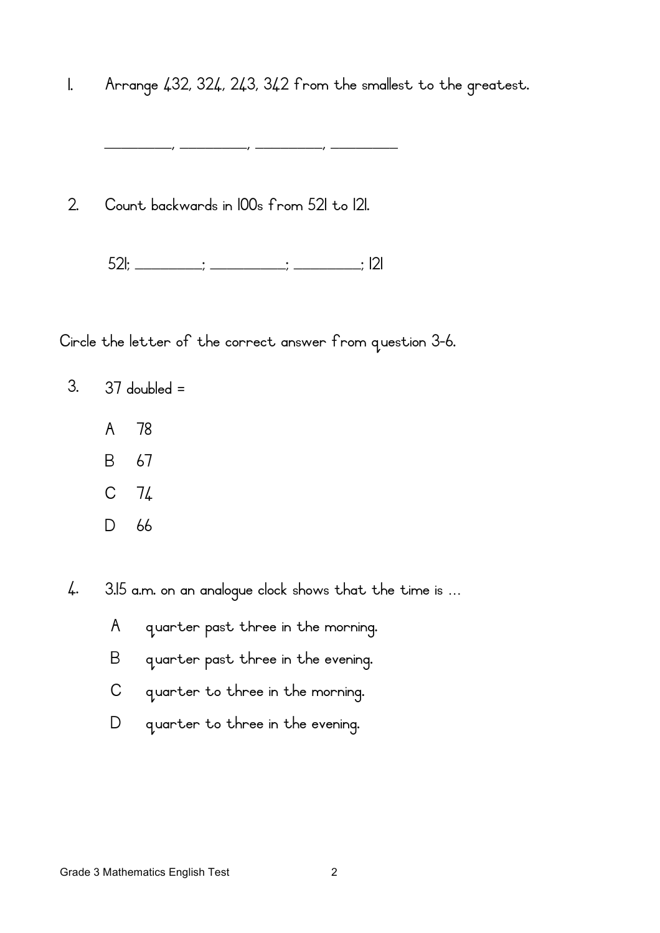1. Arrange 432, 324, 243, 342 from the smallest to the greatest.

\_\_\_\_\_\_\_\_, \_\_\_\_\_\_\_\_, \_\_\_\_\_\_\_\_, \_\_\_\_\_\_\_\_

2. Count backwards in 100s from 521 to 121.

521; \_\_\_\_\_\_\_\_; \_\_\_\_\_\_\_\_\_; \_\_\_\_\_\_\_\_; 121

Circle the letter of the correct answer from question 3-6.

- 3. 37 doubled =
	- A 78
	- B 67
	- $\mathcal{C}$ 74
	- $\mathsf{D}$ 66
- 4. 3.15 a.m. on an analogue clock shows that the time is
	- A quarter past three in the morning.
	- B quarter past three in the evening.
	- C quarter to three in the morning.
	- D quarter to three in the evening.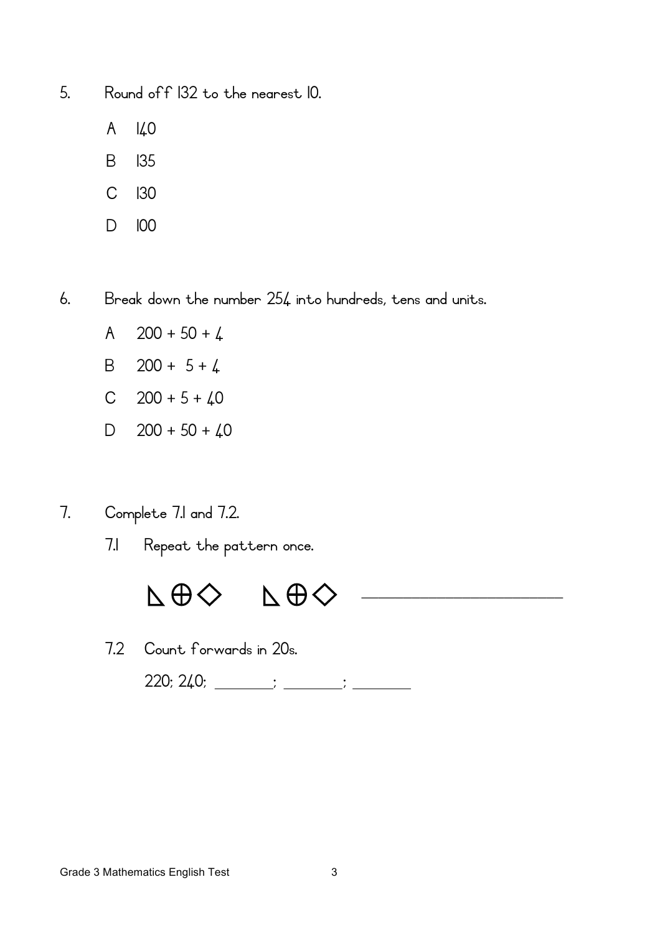- 5. Round off 132 to the nearest 10.
	- A 140
	- B 135
	- C 130
	- D 100

6. Break down the number 254 into hundreds, tens and units.

- A  $200 + 50 + 4$
- B  $200 + 5 + 4$
- C  $200 + 5 + 40$
- D  $200 + 50 + 40$

7. Complete 7.1 and 7.2.

7.1 Repeat the pattern once.



7.2 Count forwards in 20s.

 $220; 240; \underline{\hspace{1cm}}$  ;  $\underline{\hspace{1cm}}$  ;  $\underline{\hspace{1cm}}$  ;  $\underline{\hspace{1cm}}$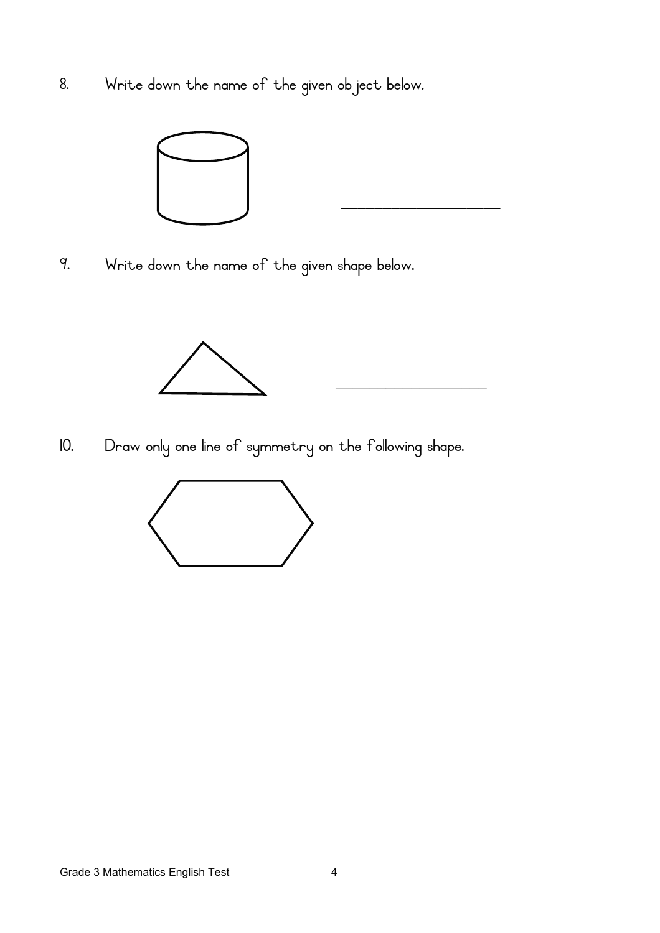8. Write down the name of the given object below.



9. Write down the name of the given shape below.



10. Draw only one line of symmetry on the following shape.

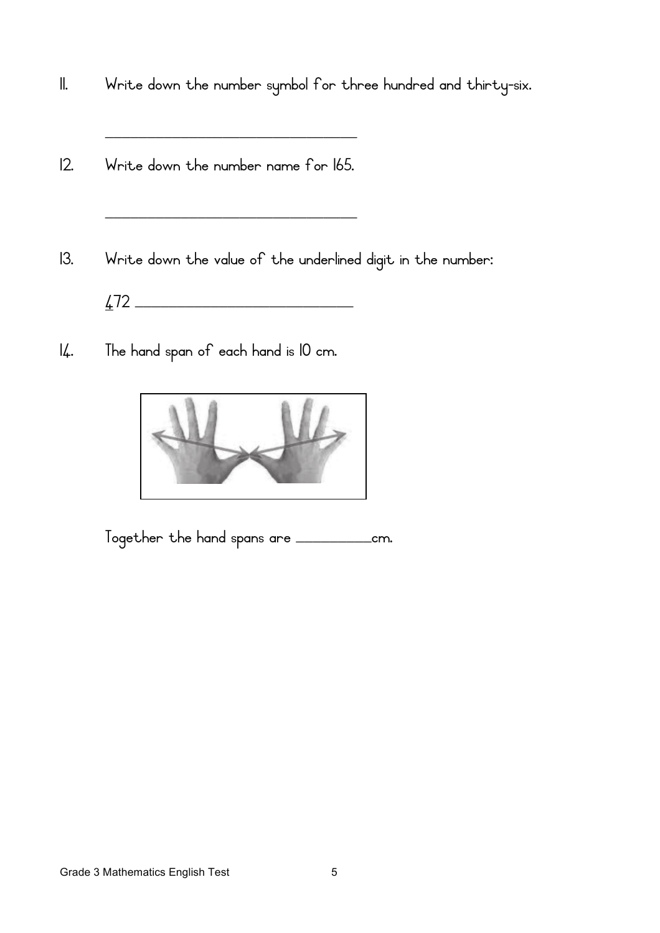11. Write down the number symbol for three hundred and thirty-six.

 $\frac{1}{2}$  , and the contract of the contract of the contract of the contract of the contract of the contract of the contract of the contract of the contract of the contract of the contract of the contract of the contract

12. Write down the number name for 165.

\_\_\_\_\_\_\_\_\_\_\_\_\_\_\_\_\_\_\_\_\_\_\_\_\_\_\_\_\_\_

13. Write down the value of the underlined digit in the number:

472 \_\_\_\_\_\_\_\_\_\_\_\_\_\_\_\_\_\_\_\_\_\_\_\_\_\_

14. The hand span of each hand is 10 cm.



Together the hand spans are \_\_\_\_\_\_\_\_\_cm.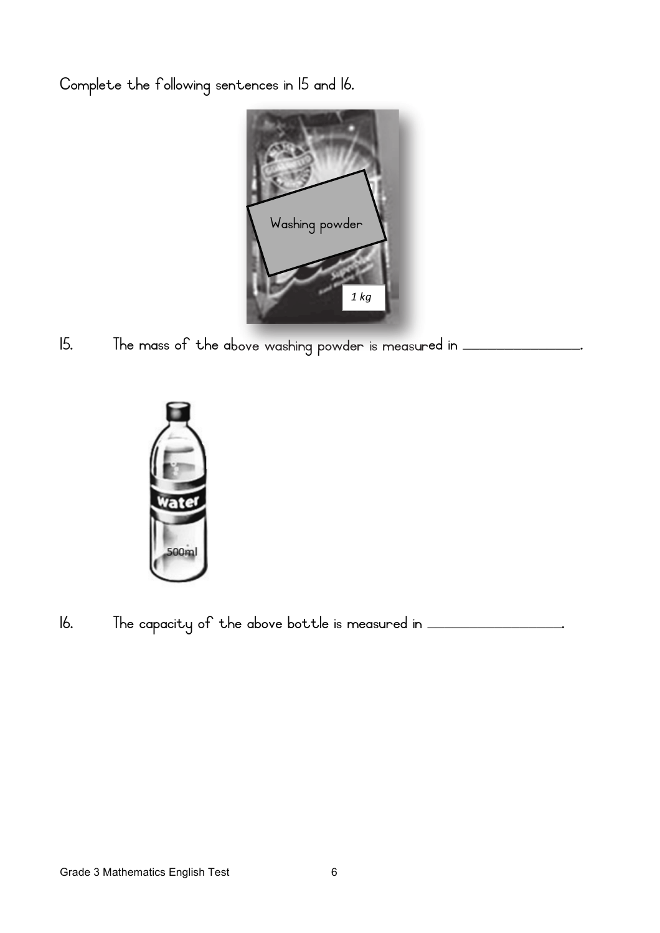Complete the following sentences in 15 and 16.



15. The mass of the above washing powder is measured in \_\_\_\_\_\_\_\_\_\_\_\_\_\_.



16. The capacity of the above bottle is measured in \_\_\_\_\_\_\_\_\_\_\_\_\_\_\_\_.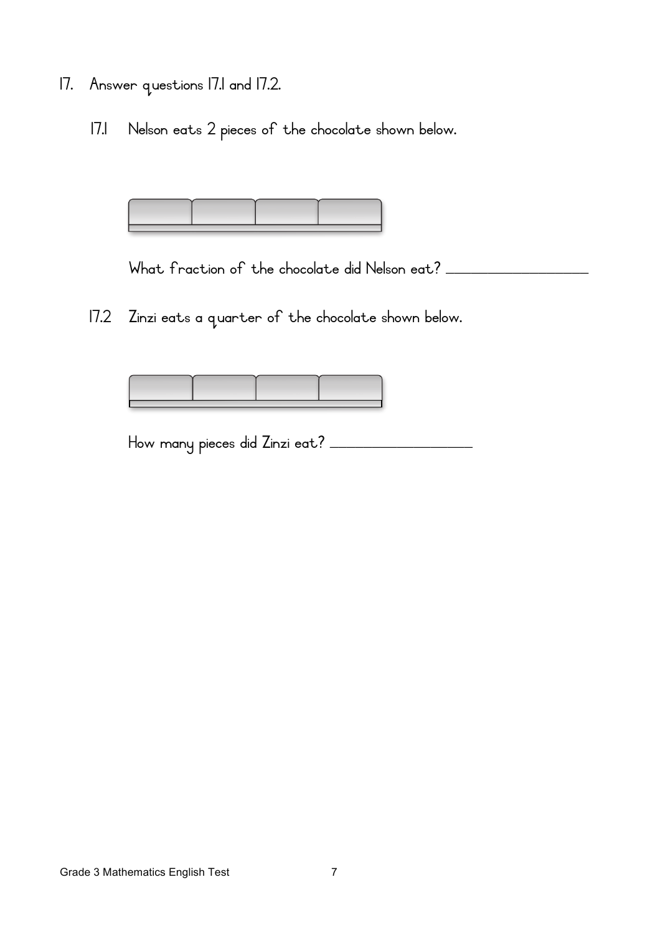- 17. Answer questions 17.1 and 17.2.
	- 17.1 Nelson eats 2 pieces of the chocolate shown below.



What fraction of the chocolate did Nelson eat? \_\_\_\_\_\_\_\_\_\_\_\_\_\_\_\_\_\_\_\_\_\_\_\_\_\_\_\_\_\_\_\_\_

17.2 Zinzi eats a quarter of the chocolate shown below.



How many pieces did Zinzi eat? \_\_\_\_\_\_\_\_\_\_\_\_\_\_\_\_\_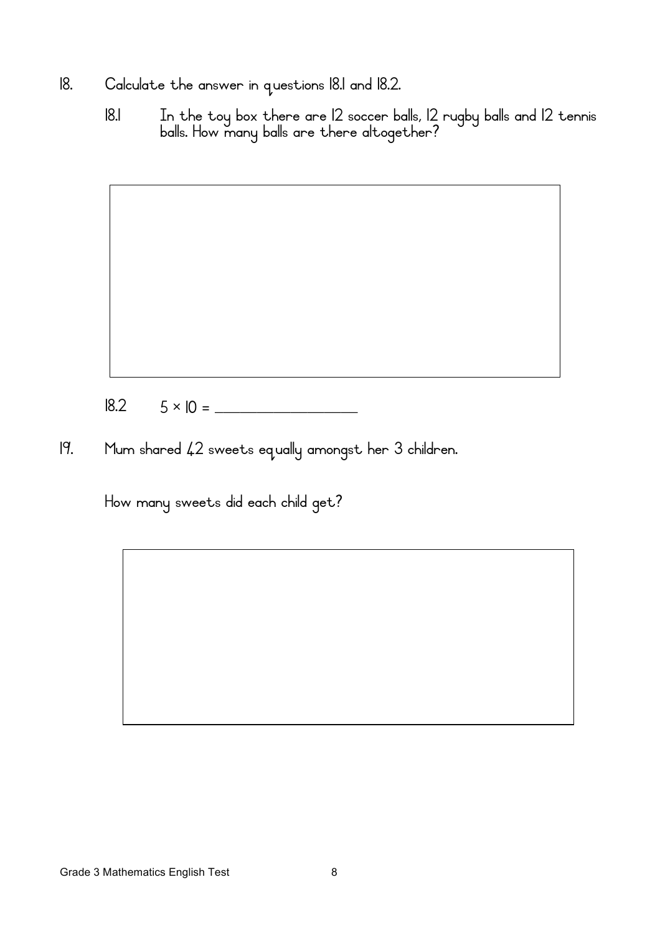- 18. Calculate the answer in questions 18.1 and 18.2.
	- 18.1 In the toy box there are 12 soccer balls, 12 rugby balls and 12 tennis balls. How many balls are there altogether?

 $18.2 \t 5 \times 10 = \t 1000$ 

19. Mum shared 42 sweets equally amongst her 3 children.

How many sweets did each child get?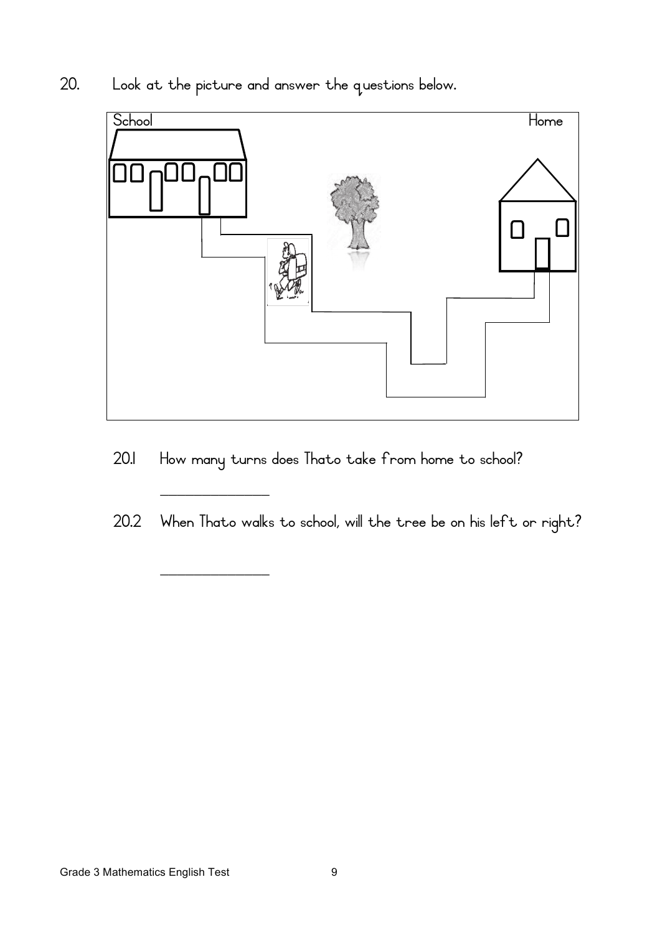20. Look at the picture and answer the questions below.



20.1 How many turns does Thato take from home to school?

 $\overline{\phantom{a}}$  , and the contract of  $\overline{\phantom{a}}$ 

\_\_\_\_\_\_\_\_\_\_\_\_\_

20.2 When Thato walks to school, will the tree be on his left or right?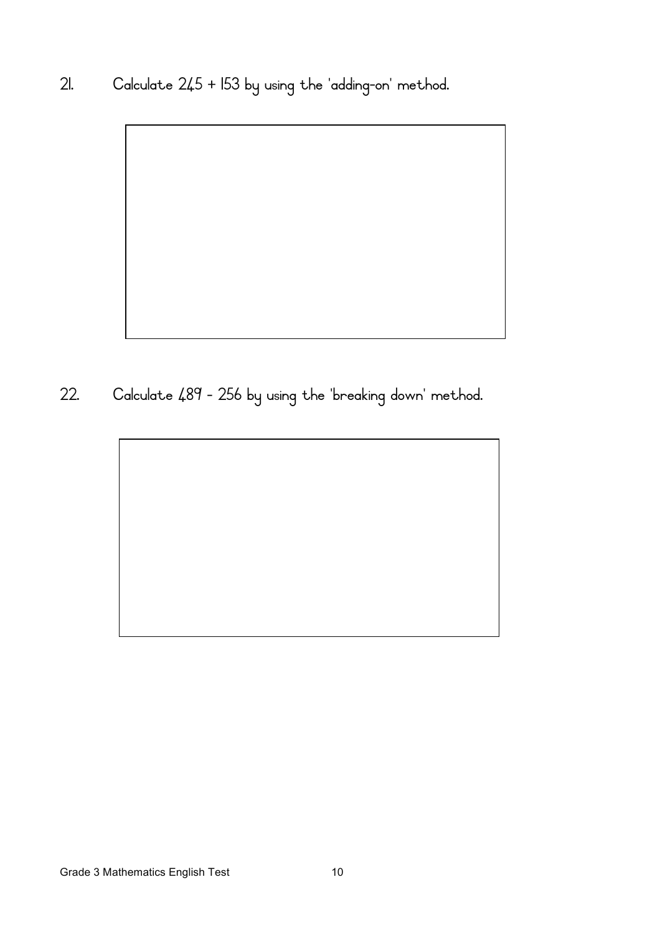21. Calculate 245 + 153 by using the 'adding-on' method.

22. Calculate 489 - 256 by using the 'breaking down' method.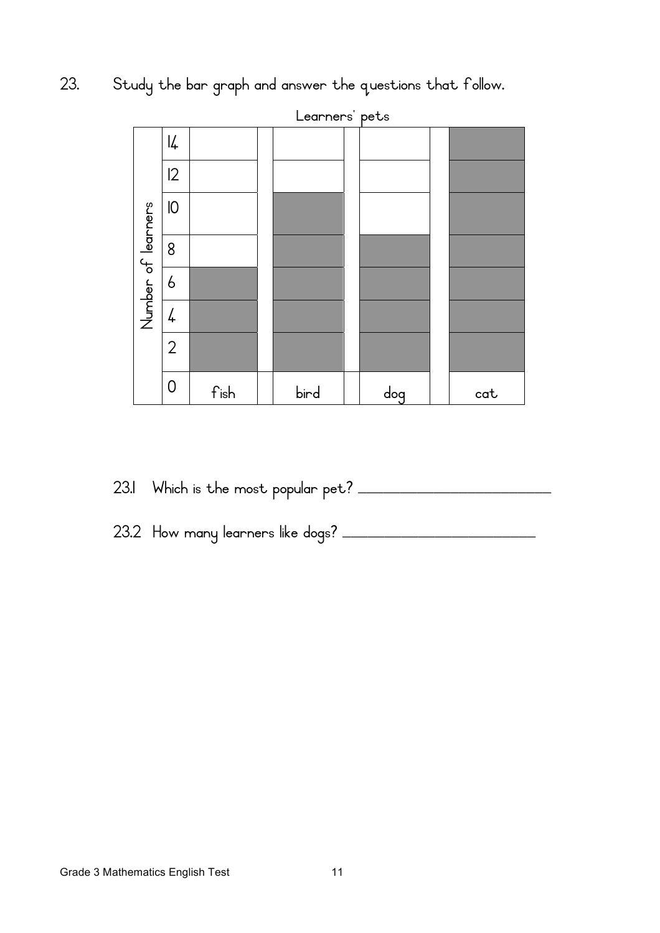23. Study the bar graph and answer the questions that follow.

| Learners' pets     |                |      |  |      |  |     |  |     |  |
|--------------------|----------------|------|--|------|--|-----|--|-----|--|
| Number of learners | $\frac{1}{4}$  |      |  |      |  |     |  |     |  |
|                    | 12             |      |  |      |  |     |  |     |  |
|                    | 0              |      |  |      |  |     |  |     |  |
|                    | 8              |      |  |      |  |     |  |     |  |
|                    | $\overline{6}$ |      |  |      |  |     |  |     |  |
|                    | $\frac{1}{2}$  |      |  |      |  |     |  |     |  |
|                    | $\overline{2}$ |      |  |      |  |     |  |     |  |
|                    | $\Omega$       | fish |  | bird |  | dog |  | cat |  |

23.1 Which is the most popular pet? \_\_\_\_\_\_\_\_\_\_\_\_\_\_\_\_\_\_\_\_\_\_\_

23.2 How many learners like dogs? \_\_\_\_\_\_\_\_\_\_\_\_\_\_\_\_\_\_\_\_\_\_\_\_\_\_\_\_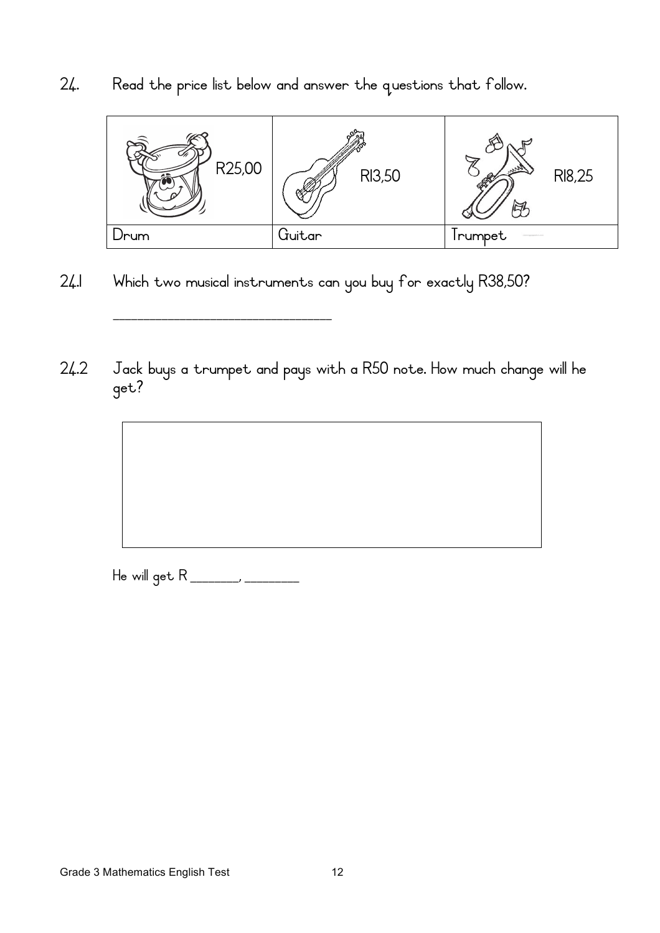24. Read the price list below and answer the questions that follow.



- 24.1 Which two musical instruments can you buy for exactly R38,50?
- 24.2 Jack buys a trumpet and pays with a R50 note. How much change will he get?

He will get R \_\_\_\_\_\_\_\_, \_\_\_\_\_\_\_\_\_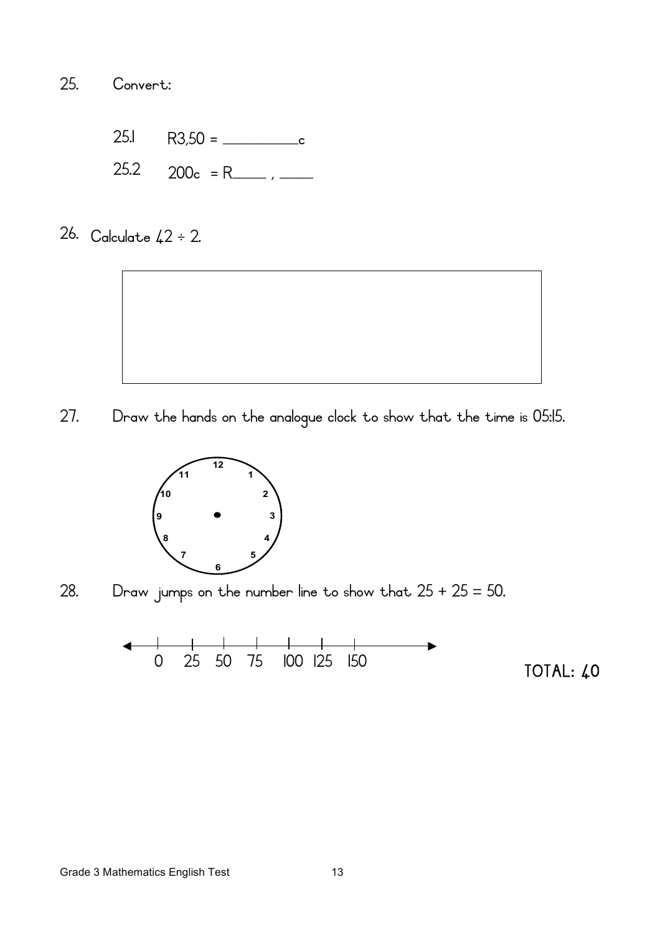25. Convert:

25.1 25.2 R3,50 = \_\_\_\_\_\_\_\_\_c  $200c = R$ <sub>\_\_\_\_</sub>, \_\_\_\_\_\_

26. Calculate 42 ÷ 2.





28. Draw jumps on the number line to show that  $25 + 25 = 50$ .

0 25 50 75 100 125 150 TOTAL: 40